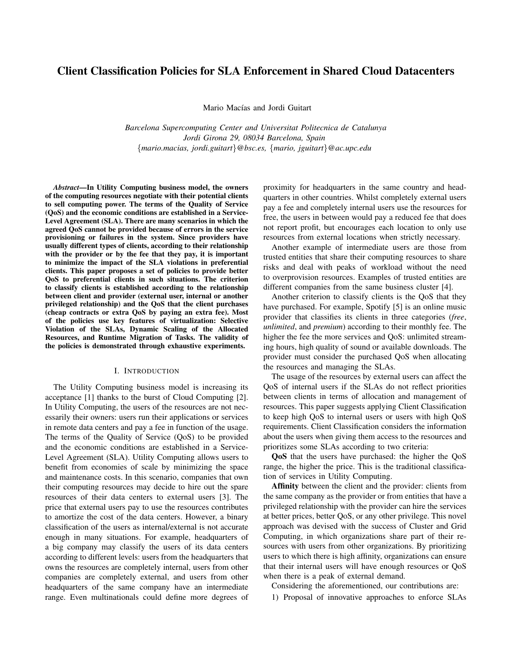# Client Classification Policies for SLA Enforcement in Shared Cloud Datacenters

Mario Macías and Jordi Guitart

*Barcelona Supercomputing Center and Universitat Politecnica de Catalunya Jordi Girona 29, 08034 Barcelona, Spain* {*mario.macias, jordi.guitart*}*@bsc.es,* {*mario, jguitart*}*@ac.upc.edu*

*Abstract*—In Utility Computing business model, the owners of the computing resources negotiate with their potential clients to sell computing power. The terms of the Quality of Service (QoS) and the economic conditions are established in a Service-Level Agreement (SLA). There are many scenarios in which the agreed QoS cannot be provided because of errors in the service provisioning or failures in the system. Since providers have usually different types of clients, according to their relationship with the provider or by the fee that they pay, it is important to minimize the impact of the SLA violations in preferential clients. This paper proposes a set of policies to provide better QoS to preferential clients in such situations. The criterion to classify clients is established according to the relationship between client and provider (external user, internal or another privileged relationship) and the QoS that the client purchases (cheap contracts or extra QoS by paying an extra fee). Most of the policies use key features of virtualization: Selective Violation of the SLAs, Dynamic Scaling of the Allocated Resources, and Runtime Migration of Tasks. The validity of the policies is demonstrated through exhaustive experiments.

## I. INTRODUCTION

The Utility Computing business model is increasing its acceptance [1] thanks to the burst of Cloud Computing [2]. In Utility Computing, the users of the resources are not necessarily their owners: users run their applications or services in remote data centers and pay a fee in function of the usage. The terms of the Quality of Service (QoS) to be provided and the economic conditions are established in a Service-Level Agreement (SLA). Utility Computing allows users to benefit from economies of scale by minimizing the space and maintenance costs. In this scenario, companies that own their computing resources may decide to hire out the spare resources of their data centers to external users [3]. The price that external users pay to use the resources contributes to amortize the cost of the data centers. However, a binary classification of the users as internal/external is not accurate enough in many situations. For example, headquarters of a big company may classify the users of its data centers according to different levels: users from the headquarters that owns the resources are completely internal, users from other companies are completely external, and users from other headquarters of the same company have an intermediate range. Even multinationals could define more degrees of proximity for headquarters in the same country and headquarters in other countries. Whilst completely external users pay a fee and completely internal users use the resources for free, the users in between would pay a reduced fee that does not report profit, but encourages each location to only use resources from external locations when strictly necessary.

Another example of intermediate users are those from trusted entities that share their computing resources to share risks and deal with peaks of workload without the need to overprovision resources. Examples of trusted entities are different companies from the same business cluster [4].

Another criterion to classify clients is the QoS that they have purchased. For example, Spotify [5] is an online music provider that classifies its clients in three categories (*free*, *unlimited*, and *premium*) according to their monthly fee. The higher the fee the more services and QoS: unlimited streaming hours, high quality of sound or available downloads. The provider must consider the purchased QoS when allocating the resources and managing the SLAs.

The usage of the resources by external users can affect the QoS of internal users if the SLAs do not reflect priorities between clients in terms of allocation and management of resources. This paper suggests applying Client Classification to keep high QoS to internal users or users with high QoS requirements. Client Classification considers the information about the users when giving them access to the resources and prioritizes some SLAs according to two criteria:

QoS that the users have purchased: the higher the QoS range, the higher the price. This is the traditional classification of services in Utility Computing.

Affinity between the client and the provider: clients from the same company as the provider or from entities that have a privileged relationship with the provider can hire the services at better prices, better QoS, or any other privilege. This novel approach was devised with the success of Cluster and Grid Computing, in which organizations share part of their resources with users from other organizations. By prioritizing users to which there is high affinity, organizations can ensure that their internal users will have enough resources or QoS when there is a peak of external demand.

Considering the aforementioned, our contributions are:

1) Proposal of innovative approaches to enforce SLAs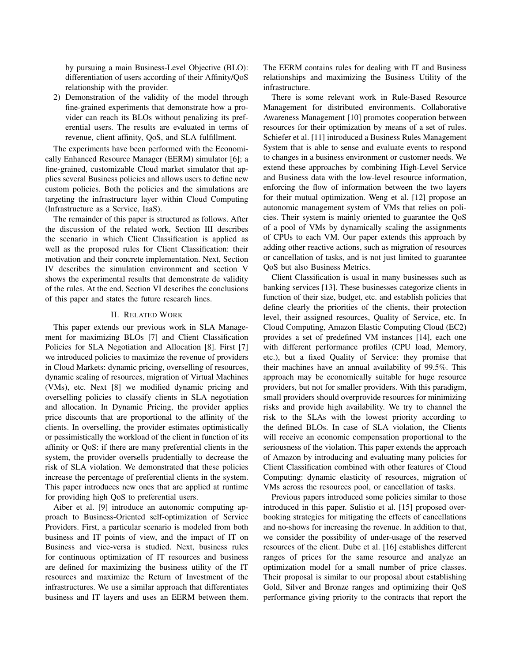by pursuing a main Business-Level Objective (BLO): differentiation of users according of their Affinity/QoS relationship with the provider.

2) Demonstration of the validity of the model through fine-grained experiments that demonstrate how a provider can reach its BLOs without penalizing its preferential users. The results are evaluated in terms of revenue, client affinity, QoS, and SLA fulfillment.

The experiments have been performed with the Economically Enhanced Resource Manager (EERM) simulator [6]; a fine-grained, customizable Cloud market simulator that applies several Business policies and allows users to define new custom policies. Both the policies and the simulations are targeting the infrastructure layer within Cloud Computing (Infrastructure as a Service, IaaS).

The remainder of this paper is structured as follows. After the discussion of the related work, Section III describes the scenario in which Client Classification is applied as well as the proposed rules for Client Classification: their motivation and their concrete implementation. Next, Section IV describes the simulation environment and section V shows the experimental results that demonstrate de validity of the rules. At the end, Section VI describes the conclusions of this paper and states the future research lines.

#### II. RELATED WORK

This paper extends our previous work in SLA Management for maximizing BLOs [7] and Client Classification Policies for SLA Negotiation and Allocation [8]. First [7] we introduced policies to maximize the revenue of providers in Cloud Markets: dynamic pricing, overselling of resources, dynamic scaling of resources, migration of Virtual Machines (VMs), etc. Next [8] we modified dynamic pricing and overselling policies to classify clients in SLA negotiation and allocation. In Dynamic Pricing, the provider applies price discounts that are proportional to the affinity of the clients. In overselling, the provider estimates optimistically or pessimistically the workload of the client in function of its affinity or QoS: if there are many preferential clients in the system, the provider oversells prudentially to decrease the risk of SLA violation. We demonstrated that these policies increase the percentage of preferential clients in the system. This paper introduces new ones that are applied at runtime for providing high QoS to preferential users.

Aiber et al. [9] introduce an autonomic computing approach to Business-Oriented self-optimization of Service Providers. First, a particular scenario is modeled from both business and IT points of view, and the impact of IT on Business and vice-versa is studied. Next, business rules for continuous optimization of IT resources and business are defined for maximizing the business utility of the IT resources and maximize the Return of Investment of the infrastructures. We use a similar approach that differentiates business and IT layers and uses an EERM between them. The EERM contains rules for dealing with IT and Business relationships and maximizing the Business Utility of the infrastructure.

There is some relevant work in Rule-Based Resource Management for distributed environments. Collaborative Awareness Management [10] promotes cooperation between resources for their optimization by means of a set of rules. Schiefer et al. [11] introduced a Business Rules Management System that is able to sense and evaluate events to respond to changes in a business environment or customer needs. We extend these approaches by combining High-Level Service and Business data with the low-level resource information, enforcing the flow of information between the two layers for their mutual optimization. Weng et al. [12] propose an autonomic management system of VMs that relies on policies. Their system is mainly oriented to guarantee the QoS of a pool of VMs by dynamically scaling the assignments of CPUs to each VM. Our paper extends this approach by adding other reactive actions, such as migration of resources or cancellation of tasks, and is not just limited to guarantee QoS but also Business Metrics.

Client Classification is usual in many businesses such as banking services [13]. These businesses categorize clients in function of their size, budget, etc. and establish policies that define clearly the priorities of the clients, their protection level, their assigned resources, Quality of Service, etc. In Cloud Computing, Amazon Elastic Computing Cloud (EC2) provides a set of predefined VM instances [14], each one with different performance profiles (CPU load, Memory, etc.), but a fixed Quality of Service: they promise that their machines have an annual availability of 99.5%. This approach may be economically suitable for huge resource providers, but not for smaller providers. With this paradigm, small providers should overprovide resources for minimizing risks and provide high availability. We try to channel the risk to the SLAs with the lowest priority according to the defined BLOs. In case of SLA violation, the Clients will receive an economic compensation proportional to the seriousness of the violation. This paper extends the approach of Amazon by introducing and evaluating many policies for Client Classification combined with other features of Cloud Computing: dynamic elasticity of resources, migration of VMs across the resources pool, or cancellation of tasks.

Previous papers introduced some policies similar to those introduced in this paper. Sulistio et al. [15] proposed overbooking strategies for mitigating the effects of cancellations and no-shows for increasing the revenue. In addition to that, we consider the possibility of under-usage of the reserved resources of the client. Dube et al. [16] establishes different ranges of prices for the same resource and analyze an optimization model for a small number of price classes. Their proposal is similar to our proposal about establishing Gold, Silver and Bronze ranges and optimizing their QoS performance giving priority to the contracts that report the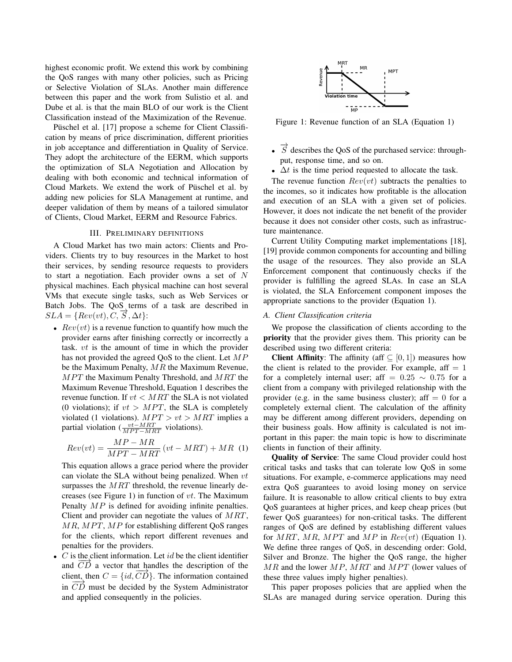highest economic profit. We extend this work by combining the QoS ranges with many other policies, such as Pricing or Selective Violation of SLAs. Another main difference between this paper and the work from Sulistio et al. and Dube et al. is that the main BLO of our work is the Client Classification instead of the Maximization of the Revenue.

Püschel et al. [17] propose a scheme for Client Classification by means of price discrimination, different priorities in job acceptance and differentiation in Quality of Service. They adopt the architecture of the EERM, which supports the optimization of SLA Negotiation and Allocation by dealing with both economic and technical information of Cloud Markets. We extend the work of Püschel et al. by adding new policies for SLA Management at runtime, and deeper validation of them by means of a tailored simulator of Clients, Cloud Market, EERM and Resource Fabrics.

## III. PRELIMINARY DEFINITIONS

A Cloud Market has two main actors: Clients and Providers. Clients try to buy resources in the Market to host their services, by sending resource requests to providers to start a negotiation. Each provider owns a set of N physical machines. Each physical machine can host several VMs that execute single tasks, such as Web Services or Batch Jobs. The QoS terms of a task are described in  $SLA = \{Rev(vt), C, S, \Delta t\}$ :

•  $Rev(vt)$  is a revenue function to quantify how much the provider earns after finishing correctly or incorrectly a task. vt is the amount of time in which the provider has not provided the agreed QoS to the client. Let MP be the Maximum Penalty,  $MR$  the Maximum Revenue,  $MPT$  the Maximum Penalty Threshold, and  $MRT$  the Maximum Revenue Threshold, Equation 1 describes the revenue function. If  $vt < MRT$  the SLA is not violated (0 violations); if  $vt > MPT$ , the SLA is completely violated (1 violations).  $MPT > vt > MRT$  implies a partial violation ( $\frac{vt-MRT}{MPT-MRT}$  violations).

$$
Rev(vt) = \frac{MP - MR}{MPT - MRT} (vt - MRT) + MR \text{ (1)}
$$

This equation allows a grace period where the provider can violate the SLA without being penalized. When  $vt$ surpasses the MRT threshold, the revenue linearly decreases (see Figure 1) in function of  $vt$ . The Maximum Penalty MP is defined for avoiding infinite penalties. Client and provider can negotiate the values of MRT,  $MR, MPT, MP$  for establishing different QoS ranges for the clients, which report different revenues and penalties for the providers.

 $C$  is the client information. Let  $id$  be the client identifier  $\overline{CD}$  a vector that handles the description of the client, then  $C = \{id, CD\}$ . The information contained  $\overrightarrow{CD}$  must be decided by the System Administrator and applied consequently in the policies.



Figure 1: Revenue function of an SLA (Equation 1)

- $\overrightarrow{S}$  describes the QoS of the purchased service: throughput, response time, and so on.
- $\Delta t$  is the time period requested to allocate the task.

The revenue function  $Rev(vt)$  subtracts the penalties to the incomes, so it indicates how profitable is the allocation and execution of an SLA with a given set of policies. However, it does not indicate the net benefit of the provider because it does not consider other costs, such as infrastructure maintenance.

Current Utility Computing market implementations [18], [19] provide common components for accounting and billing the usage of the resources. They also provide an SLA Enforcement component that continuously checks if the provider is fulfilling the agreed SLAs. In case an SLA is violated, the SLA Enforcement component imposes the appropriate sanctions to the provider (Equation 1).

### *A. Client Classification criteria*

We propose the classification of clients according to the priority that the provider gives them. This priority can be described using two different criteria:

**Client Affinity**: The affinity (aff  $\subseteq$  [0, 1]) measures how the client is related to the provider. For example, aff  $= 1$ for a completely internal user; aff =  $0.25 \sim 0.75$  for a client from a company with privileged relationship with the provider (e.g. in the same business cluster); aff  $= 0$  for a completely external client. The calculation of the affinity may be different among different providers, depending on their business goals. How affinity is calculated is not important in this paper: the main topic is how to discriminate clients in function of their affinity.

Quality of Service: The same Cloud provider could host critical tasks and tasks that can tolerate low QoS in some situations. For example, e-commerce applications may need extra QoS guarantees to avoid losing money on service failure. It is reasonable to allow critical clients to buy extra QoS guarantees at higher prices, and keep cheap prices (but fewer QoS guarantees) for non-critical tasks. The different ranges of QoS are defined by establishing different values for MRT, MR, MPT and MP in  $Rev(vt)$  (Equation 1). We define three ranges of QoS, in descending order: Gold, Silver and Bronze. The higher the QoS range, the higher  $MR$  and the lower  $MP$ ,  $MRT$  and  $MPT$  (lower values of these three values imply higher penalties).

This paper proposes policies that are applied when the SLAs are managed during service operation. During this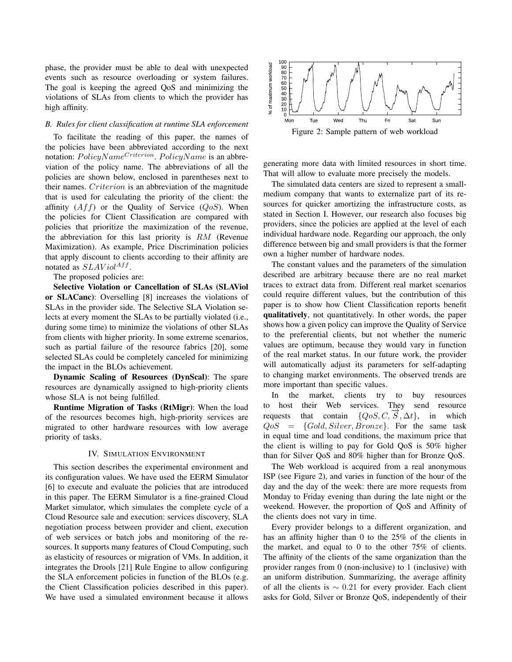phase, the provider must be able to deal with unexpected events such as resource overloading or system failures. The goal is keeping the agreed QoS and minimizing the violations of SLAs from clients to which the provider has high affinity.

## *B. Rules for client classification at runtime SLA enforcement*

To facilitate the reading of this paper, the names of the policies have been abbreviated according to the next notation:  $PolicyName^{Criterion}$ .  $PolicyName$  is an abbreviation of the policy name. The abbreviations of all the policies are shown below, enclosed in parentheses next to their names. Criterion is an abbreviation of the magnitude that is used for calculating the priority of the client: the affinity  $(Aff)$  or the Quality of Service  $(QoS)$ . When the policies for Client Classification are compared with policies that prioritize the maximization of the revenue, the abbreviation for this last priority is  $RM$  (Revenue Maximization). As example, Price Discrimination policies that apply discount to clients according to their affinity are notated as  $SLAViol<sup>Aff</sup>$ .

The proposed policies are:

Selective Violation or Cancellation of SLAs (SLAViol or SLACanc): Overselling [8] increases the violations of SLAs in the provider side. The Selective SLA Violation selects at every moment the SLAs to be partially violated (i.e., during some time) to minimize the violations of other SLAs from clients with higher priority. In some extreme scenarios, such as partial failure of the resource fabrics [20], some selected SLAs could be completely canceled for minimizing the impact in the BLOs achievement.

Dynamic Scaling of Resources (DynScal): The spare resources are dynamically assigned to high-priority clients whose SLA is not being fulfilled.

Runtime Migration of Tasks (RtMigr): When the load of the resources becomes high, high-priority services are migrated to other hardware resources with low average priority of tasks.

## IV. SIMULATION ENVIRONMENT

This section describes the experimental environment and its configuration values. We have used the EERM Simulator [6] to execute and evaluate the policies that are introduced in this paper. The EERM Simulator is a fine-grained Cloud Market simulator, which simulates the complete cycle of a Cloud Resource sale and execution: services discovery, SLA negotiation process between provider and client, execution of web services or batch jobs and monitoring of the resources. It supports many features of Cloud Computing, such as elasticity of resources or migration of VMs. In addition, it integrates the Drools [21] Rule Engine to allow configuring the SLA enforcement policies in function of the BLOs (e.g. the Client Classification policies described in this paper). We have used a simulated environment because it allows



generating more data with limited resources in short time. That will allow to evaluate more precisely the models.

The simulated data centers are sized to represent a smallmedium company that wants to externalize part of its resources for quicker amortizing the infrastructure costs, as stated in Section I. However, our research also focuses big providers, since the policies are applied at the level of each individual hardware node. Regarding our approach, the only difference between big and small providers is that the former own a higher number of hardware nodes.

The constant values and the parameters of the simulation described are arbitrary because there are no real market traces to extract data from. Different real market scenarios could require different values, but the contribution of this paper is to show how Client Classification reports benefit qualitatively, not quantitatively. In other words, the paper shows how a given policy can improve the Quality of Service to the preferential clients, but not whether the numeric values are optimum, because they would vary in function of the real market status. In our future work, the provider will automatically adjust its parameters for self-adapting to changing market environments. The observed trends are more important than specific values.

In the market, clients try to buy resources to host their Web services. They send resource requests that contain  $\{QoS, C, \overrightarrow{S}, \Delta t\}$ , in which  $QoS = \{Gold, Silver, Bronze\}$ . For the same task in equal time and load conditions, the maximum price that the client is willing to pay for Gold QoS is 50% higher than for Silver QoS and 80% higher than for Bronze QoS.

The Web workload is acquired from a real anonymous ISP (see Figure 2), and varies in function of the hour of the day and the day of the week: there are more requests from Monday to Friday evening than during the late night or the weekend. However, the proportion of QoS and Affinity of the clients does not vary in time.

Every provider belongs to a different organization, and has an affinity higher than 0 to the 25% of the clients in the market, and equal to 0 to the other 75% of clients. The affinity of the clients of the same organization than the provider ranges from 0 (non-inclusive) to 1 (inclusive) with an uniform distribution. Summarizing, the average affinity of all the clients is  $\sim 0.21$  for every provider. Each client asks for Gold, Silver or Bronze QoS, independently of their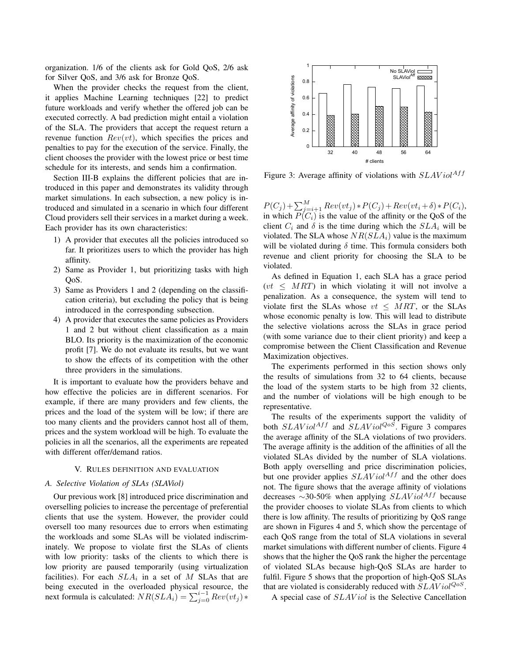organization. 1/6 of the clients ask for Gold QoS, 2/6 ask for Silver QoS, and 3/6 ask for Bronze QoS.

When the provider checks the request from the client, it applies Machine Learning techniques [22] to predict future workloads and verify whether the offered job can be executed correctly. A bad prediction might entail a violation of the SLA. The providers that accept the request return a revenue function  $Rev(vt)$ , which specifies the prices and penalties to pay for the execution of the service. Finally, the client chooses the provider with the lowest price or best time schedule for its interests, and sends him a confirmation.

Section III-B explains the different policies that are introduced in this paper and demonstrates its validity through market simulations. In each subsection, a new policy is introduced and simulated in a scenario in which four different Cloud providers sell their services in a market during a week. Each provider has its own characteristics:

- 1) A provider that executes all the policies introduced so far. It prioritizes users to which the provider has high affinity.
- 2) Same as Provider 1, but prioritizing tasks with high QoS.
- 3) Same as Providers 1 and 2 (depending on the classification criteria), but excluding the policy that is being introduced in the corresponding subsection.
- 4) A provider that executes the same policies as Providers 1 and 2 but without client classification as a main BLO. Its priority is the maximization of the economic profit [7]. We do not evaluate its results, but we want to show the effects of its competition with the other three providers in the simulations.

It is important to evaluate how the providers behave and how effective the policies are in different scenarios. For example, if there are many providers and few clients, the prices and the load of the system will be low; if there are too many clients and the providers cannot host all of them, prices and the system workload will be high. To evaluate the policies in all the scenarios, all the experiments are repeated with different offer/demand ratios.

## V. RULES DEFINITION AND EVALUATION

## *A. Selective Violation of SLAs (SLAViol)*

Our previous work [8] introduced price discrimination and overselling policies to increase the percentage of preferential clients that use the system. However, the provider could oversell too many resources due to errors when estimating the workloads and some SLAs will be violated indiscriminately. We propose to violate first the SLAs of clients with low priority: tasks of the clients to which there is low priority are paused temporarily (using virtualization facilities). For each  $SLA_i$  in a set of M SLAs that are being executed in the overloaded physical resource, the next formula is calculated:  $NR(SLA_i) = \sum_{j=0}^{i-1} Rev(v_t) *$ 



Figure 3: Average affinity of violations with  $SLAViol<sup>Aff</sup>$ 

 $P(C_j) + \sum_{j=i+1}^{M} Rev(vt_j) * P(C_j) + Rev(vt_i + \delta) * P(C_i),$ in which  $P(C_i)$  is the value of the affinity or the QoS of the client  $C_i$  and  $\delta$  is the time during which the  $SLA_i$  will be violated. The SLA whose  $NR(SLA_i)$  value is the maximum will be violated during  $\delta$  time. This formula considers both revenue and client priority for choosing the SLA to be violated.

As defined in Equation 1, each SLA has a grace period  $(vt \leq MRT)$  in which violating it will not involve a penalization. As a consequence, the system will tend to violate first the SLAs whose  $vt \leq MRT$ , or the SLAs whose economic penalty is low. This will lead to distribute the selective violations across the SLAs in grace period (with some variance due to their client priority) and keep a compromise between the Client Classification and Revenue Maximization objectives.

The experiments performed in this section shows only the results of simulations from 32 to 64 clients, because the load of the system starts to be high from 32 clients, and the number of violations will be high enough to be representative.

The results of the experiments support the validity of both  $SLAViol<sup>Aff</sup>$  and  $SLAViol<sup>QoS</sup>$ . Figure 3 compares the average affinity of the SLA violations of two providers. The average affinity is the addition of the affinities of all the violated SLAs divided by the number of SLA violations. Both apply overselling and price discrimination policies, but one provider applies  $SLAViol<sup>Aff</sup>$  and the other does not. The figure shows that the average affinity of violations decreases  $\sim$ 30-50% when applying SLAViol<sup>Aff</sup> because the provider chooses to violate SLAs from clients to which there is low affinity. The results of prioritizing by QoS range are shown in Figures 4 and 5, which show the percentage of each QoS range from the total of SLA violations in several market simulations with different number of clients. Figure 4 shows that the higher the QoS rank the higher the percentage of violated SLAs because high-QoS SLAs are harder to fulfil. Figure 5 shows that the proportion of high-QoS SLAs that are violated is considerably reduced with  $SLAViol<sup>QoS</sup>$ .

A special case of SLAV iol is the Selective Cancellation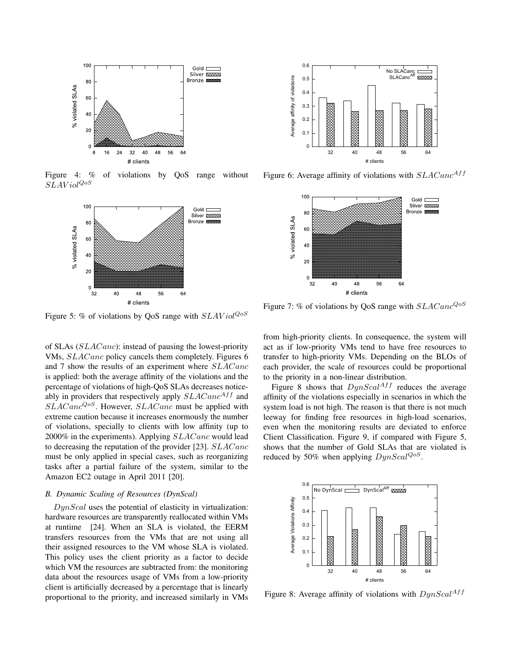

Figure 4: % of violations by QoS range without  $SLAViol<sup>QoS</sup>$ </sup>



Figure 5: % of violations by QoS range with  $SLAViolQoS$ 

of SLAs (SLACanc): instead of pausing the lowest-priority VMs, SLACanc policy cancels them completely. Figures 6 and 7 show the results of an experiment where SLACanc is applied: both the average affinity of the violations and the percentage of violations of high-QoS SLAs decreases noticeably in providers that respectively apply  $SLACanc^{Aff}$  and  $SLACanc^{QoS}$ . However,  $SLACanc$  must be applied with extreme caution because it increases enormously the number of violations, specially to clients with low affinity (up to 2000% in the experiments). Applying SLACanc would lead to decreasing the reputation of the provider [23]. SLACanc must be only applied in special cases, such as reorganizing tasks after a partial failure of the system, similar to the Amazon EC2 outage in April 2011 [20].

#### *B. Dynamic Scaling of Resources (DynScal)*

 $DynScal$  uses the potential of elasticity in virtualization: hardware resources are transparently reallocated within VMs at runtime [24]. When an SLA is violated, the EERM transfers resources from the VMs that are not using all their assigned resources to the VM whose SLA is violated. This policy uses the client priority as a factor to decide which VM the resources are subtracted from: the monitoring data about the resources usage of VMs from a low-priority client is artificially decreased by a percentage that is linearly proportional to the priority, and increased similarly in VMs



Figure 6: Average affinity of violations with  $SLACanc<sup>Aff</sup>$ 



Figure 7: % of violations by QoS range with  $SLACancQoS$ 

from high-priority clients. In consequence, the system will act as if low-priority VMs tend to have free resources to transfer to high-priority VMs. Depending on the BLOs of each provider, the scale of resources could be proportional to the priority in a non-linear distribution.

Figure 8 shows that  $DynScal<sup>Aff</sup>$  reduces the average affinity of the violations especially in scenarios in which the system load is not high. The reason is that there is not much leeway for finding free resources in high-load scenarios, even when the monitoring results are deviated to enforce Client Classification. Figure 9, if compared with Figure 5, shows that the number of Gold SLAs that are violated is reduced by 50% when applying  $DynScal^{QoS}$ .



Figure 8: Average affinity of violations with  $DynScal<sup>Aff</sup>$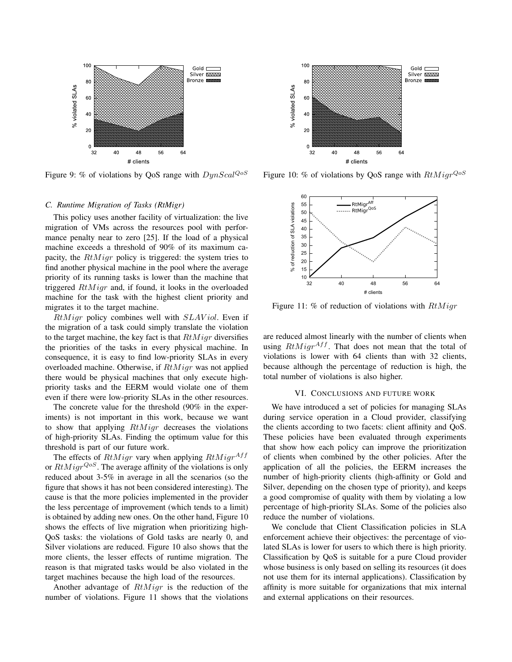

Figure 9: % of violations by QoS range with  $DynScalQoS$ 

## *C. Runtime Migration of Tasks (RtMigr)*

This policy uses another facility of virtualization: the live migration of VMs across the resources pool with performance penalty near to zero [25]. If the load of a physical machine exceeds a threshold of 90% of its maximum capacity, the  $RtMigr$  policy is triggered: the system tries to find another physical machine in the pool where the average priority of its running tasks is lower than the machine that triggered  $RtMigr$  and, if found, it looks in the overloaded machine for the task with the highest client priority and migrates it to the target machine.

 $RtMigr$  policy combines well with  $SLAViol$ . Even if the migration of a task could simply translate the violation to the target machine, the key fact is that  $RtMigr$  diversifies the priorities of the tasks in every physical machine. In consequence, it is easy to find low-priority SLAs in every overloaded machine. Otherwise, if  $RtMigr$  was not applied there would be physical machines that only execute highpriority tasks and the EERM would violate one of them even if there were low-priority SLAs in the other resources.

The concrete value for the threshold (90% in the experiments) is not important in this work, because we want to show that applying  $RtMigr$  decreases the violations of high-priority SLAs. Finding the optimum value for this threshold is part of our future work.

The effects of  $RtMigr$  vary when applying  $RtMigr<sup>Aff</sup>$ or  $RtMigr^{QoS}$ . The average affinity of the violations is only reduced about 3-5% in average in all the scenarios (so the figure that shows it has not been considered interesting). The cause is that the more policies implemented in the provider the less percentage of improvement (which tends to a limit) is obtained by adding new ones. On the other hand, Figure 10 shows the effects of live migration when prioritizing high-QoS tasks: the violations of Gold tasks are nearly 0, and Silver violations are reduced. Figure 10 also shows that the more clients, the lesser effects of runtime migration. The reason is that migrated tasks would be also violated in the target machines because the high load of the resources.

Another advantage of  $RtMigr$  is the reduction of the number of violations. Figure 11 shows that the violations



Figure 10: % of violations by QoS range with  $RtMigr^{QoS}$ 



Figure 11: % of reduction of violations with  $RtMigr$ 

are reduced almost linearly with the number of clients when using  $RtMinr^{Aff}$ . That does not mean that the total of violations is lower with 64 clients than with 32 clients, because although the percentage of reduction is high, the total number of violations is also higher.

#### VI. CONCLUSIONS AND FUTURE WORK

We have introduced a set of policies for managing SLAs during service operation in a Cloud provider, classifying the clients according to two facets: client affinity and QoS. These policies have been evaluated through experiments that show how each policy can improve the prioritization of clients when combined by the other policies. After the application of all the policies, the EERM increases the number of high-priority clients (high-affinity or Gold and Silver, depending on the chosen type of priority), and keeps a good compromise of quality with them by violating a low percentage of high-priority SLAs. Some of the policies also reduce the number of violations.

We conclude that Client Classification policies in SLA enforcement achieve their objectives: the percentage of violated SLAs is lower for users to which there is high priority. Classification by QoS is suitable for a pure Cloud provider whose business is only based on selling its resources (it does not use them for its internal applications). Classification by affinity is more suitable for organizations that mix internal and external applications on their resources.